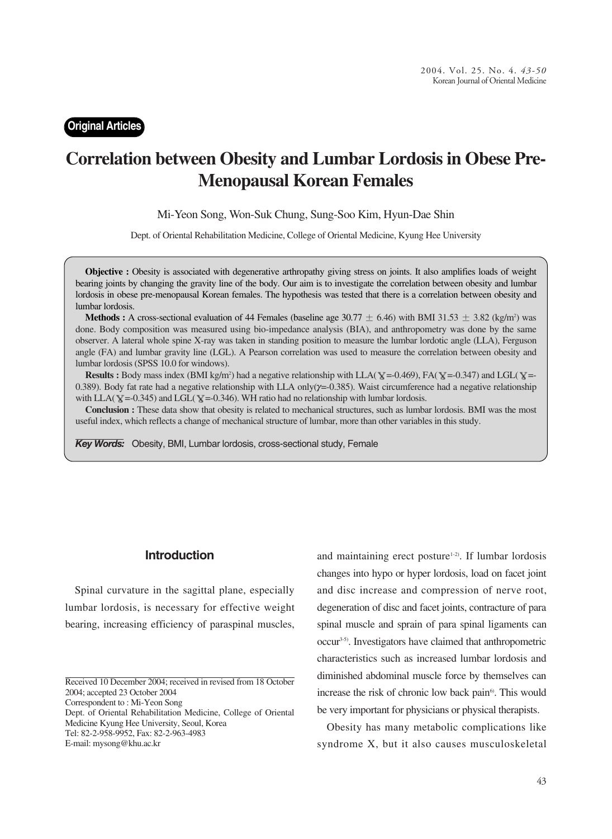### **Original Articles**

# **Correlation between Obesity and Lumbar Lordosis in Obese Pre-Menopausal Korean Females**

Mi-Yeon Song, Won-Suk Chung, Sung-Soo Kim, Hyun-Dae Shin

Dept. of Oriental Rehabilitation Medicine, College of Oriental Medicine, Kyung Hee University

**Objective :** Obesity is associated with degenerative arthropathy giving stress on joints. It also amplifies loads of weight bearing joints by changing the gravity line of the body. Our aim is to investigate the correlation between obesity and lumbar lordosis in obese pre-menopausal Korean females. The hypothesis was tested that there is a correlation between obesity and lumbar lordosis.

**Methods :** A cross-sectional evaluation of 44 Females (baseline age  $30.77 \pm 6.46$ ) with BMI  $31.53 \pm 3.82$  (kg/m<sup>2</sup>) was done. Body composition was measured using bio-impedance analysis (BIA), and anthropometry was done by the same observer. A lateral whole spine X-ray was taken in standing position to measure the lumbar lordotic angle (LLA), Ferguson angle (FA) and lumbar gravity line (LGL). A Pearson correlation was used to measure the correlation between obesity and lumbar lordosis (SPSS 10.0 for windows).

**Results :** Body mass index (BMI kg/m<sup>2</sup>) had a negative relationship with LLA( $\mathbf{Y} = -0.469$ ), FA( $\mathbf{Y} = -0.347$ ) and LGL( $\mathbf{Y} = -0.469$ ) 0.389). Body fat rate had a negative relationship with LLA only( $\gamma$ =-0.385). Waist circumference had a negative relationship with LLA( $\Upsilon$  =-0.345) and LGL( $\Upsilon$  =-0.346). WH ratio had no relationship with lumbar lordosis.

**Conclusion :** These data show that obesity is related to mechanical structures, such as lumbar lordosis. BMI was the most useful index, which reflects a change of mechanical structure of lumbar, more than other variables in this study.

*Key Words:* Obesity, BMI, Lumbar lordosis, cross-sectional study, Female

### **Introduction**

Spinal curvature in the sagittal plane, especially lumbar lordosis, is necessary for effective weight bearing, increasing efficiency of paraspinal muscles,

Correspondent to : Mi-Yeon Song

and maintaining erect posture $1-2$ . If lumbar lordosis changes into hypo or hyper lordosis, load on facet joint and disc increase and compression of nerve root, degeneration of disc and facet joints, contracture of para spinal muscle and sprain of para spinal ligaments can occur3-5). Investigators have claimed that anthropometric characteristics such as increased lumbar lordosis and diminished abdominal muscle force by themselves can increase the risk of chronic low back pain<sup>6</sup>. This would be very important for physicians or physical therapists.

Obesity has many metabolic complications like syndrome X, but it also causes musculoskeletal

Received 10 December 2004; received in revised from 18 October 2004; accepted 23 October 2004

Dept. of Oriental Rehabilitation Medicine, College of Oriental Medicine Kyung Hee University, Seoul, Korea Tel: 82-2-958-9952, Fax: 82-2-963-4983 E-mail: mysong@khu.ac.kr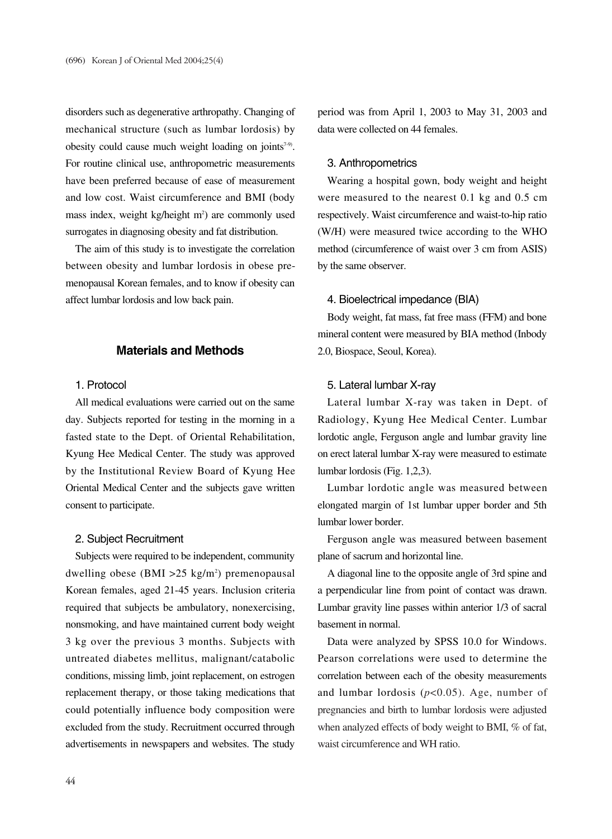disorders such as degenerative arthropathy. Changing of mechanical structure (such as lumbar lordosis) by obesity could cause much weight loading on joints<sup>7-9)</sup>. For routine clinical use, anthropometric measurements have been preferred because of ease of measurement and low cost. Waist circumference and BMI (body mass index, weight kg/height m<sup>2</sup>) are commonly used surrogates in diagnosing obesity and fat distribution.

The aim of this study is to investigate the correlation between obesity and lumbar lordosis in obese premenopausal Korean females, and to know if obesity can affect lumbar lordosis and low back pain.

### **Materials and Methods**

#### 1. Protocol

All medical evaluations were carried out on the same day. Subjects reported for testing in the morning in a fasted state to the Dept. of Oriental Rehabilitation, Kyung Hee Medical Center. The study was approved by the Institutional Review Board of Kyung Hee Oriental Medical Center and the subjects gave written consent to participate.

#### 2. Subject Recruitment

Subjects were required to be independent, community dwelling obese (BMI > 25 kg/m<sup>2</sup>) premenopausal Korean females, aged 21-45 years. Inclusion criteria required that subjects be ambulatory, nonexercising, nonsmoking, and have maintained current body weight 3 kg over the previous 3 months. Subjects with untreated diabetes mellitus, malignant/catabolic conditions, missing limb, joint replacement, on estrogen replacement therapy, or those taking medications that could potentially influence body composition were excluded from the study. Recruitment occurred through advertisements in newspapers and websites. The study

period was from April 1, 2003 to May 31, 2003 and data were collected on 44 females.

### 3. Anthropometrics

Wearing a hospital gown, body weight and height were measured to the nearest 0.1 kg and 0.5 cm respectively. Waist circumference and waist-to-hip ratio (W/H) were measured twice according to the WHO method (circumference of waist over 3 cm from ASIS) by the same observer.

#### 4. Bioelectrical impedance (BIA)

Body weight, fat mass, fat free mass (FFM) and bone mineral content were measured by BIA method (Inbody 2.0, Biospace, Seoul, Korea).

#### 5. Lateral lumbar X-ray

Lateral lumbar X-ray was taken in Dept. of Radiology, Kyung Hee Medical Center. Lumbar lordotic angle, Ferguson angle and lumbar gravity line on erect lateral lumbar X-ray were measured to estimate lumbar lordosis (Fig. 1,2,3).

Lumbar lordotic angle was measured between elongated margin of 1st lumbar upper border and 5th lumbar lower border.

Ferguson angle was measured between basement plane of sacrum and horizontal line.

A diagonal line to the opposite angle of 3rd spine and a perpendicular line from point of contact was drawn. Lumbar gravity line passes within anterior 1/3 of sacral basement in normal.

Data were analyzed by SPSS 10.0 for Windows. Pearson correlations were used to determine the correlation between each of the obesity measurements and lumbar lordosis  $(p<0.05)$ . Age, number of pregnancies and birth to lumbar lordosis were adjusted when analyzed effects of body weight to BMI, % of fat, waist circumference and WH ratio.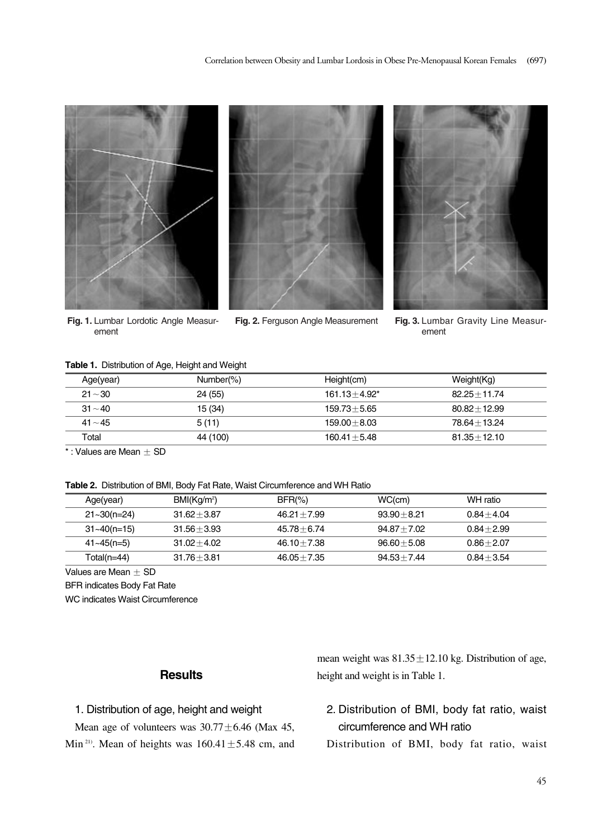





**Fig. 1.** Lumbar Lordotic Angle Measurement

**Fig. 2.** Ferguson Angle Measurement **Fig. 3.** Lumbar Gravity Line Measurement

#### **Table 1.** Distribution of Age, Height and Weight

| Age(year) | Number(%) | Height(cm)       | Weight(Kg)      |
|-----------|-----------|------------------|-----------------|
| $21 - 30$ | 24(55)    | $161.13 + 4.92*$ | $82.25 + 11.74$ |
| $31 - 40$ | 15 (34)   | $159.73 + 5.65$  | $80.82 + 12.99$ |
| $41 - 45$ | 5(11)     | $159.00 + 8.03$  | $78.64 + 13.24$ |
| Total     | 44 (100)  | $160.41 + 5.48$  | $81.35 + 12.10$ |

 $*$ : Values are Mean  $\pm$  SD

**Table 2.** Distribution of BMI, Body Fat Rate, Waist Circumference and WH Ratio

| Age(year)       | BMI(Kg/m <sup>2</sup> ) | $BFR(\% )$     | WC(cm)         | WH ratio      |
|-----------------|-------------------------|----------------|----------------|---------------|
| $21 - 30(n=24)$ | $31.62 + 3.87$          | $46.21 + 7.99$ | $93.90 + 8.21$ | $0.84 + 4.04$ |
| $31 - 40(n=15)$ | $31.56 + 3.93$          | $45.78 + 6.74$ | $94.87 + 7.02$ | $0.84 + 2.99$ |
| $41 - 45(n=5)$  | $31.02 + 4.02$          | $46.10 + 7.38$ | $96.60 + 5.08$ | $0.86 + 2.07$ |
| Total(n=44)     | $31.76 + 3.81$          | $46.05 + 7.35$ | $94.53 + 7.44$ | $0.84 + 3.54$ |

Values are Mean  $\pm$  SD

BFR indicates Body Fat Rate

WC indicates Waist Circumference

### **Results**

### 1. Distribution of age, height and weight

Mean age of volunteers was  $30.77 \pm 6.46$  (Max 45, Min<sup>21)</sup>. Mean of heights was  $160.41 \pm 5.48$  cm, and mean weight was  $81.35 \pm 12.10$  kg. Distribution of age, height and weight is in Table 1.

# 2. Distribution of BMI, body fat ratio, waist circumference and WH ratio

Distribution of BMI, body fat ratio, waist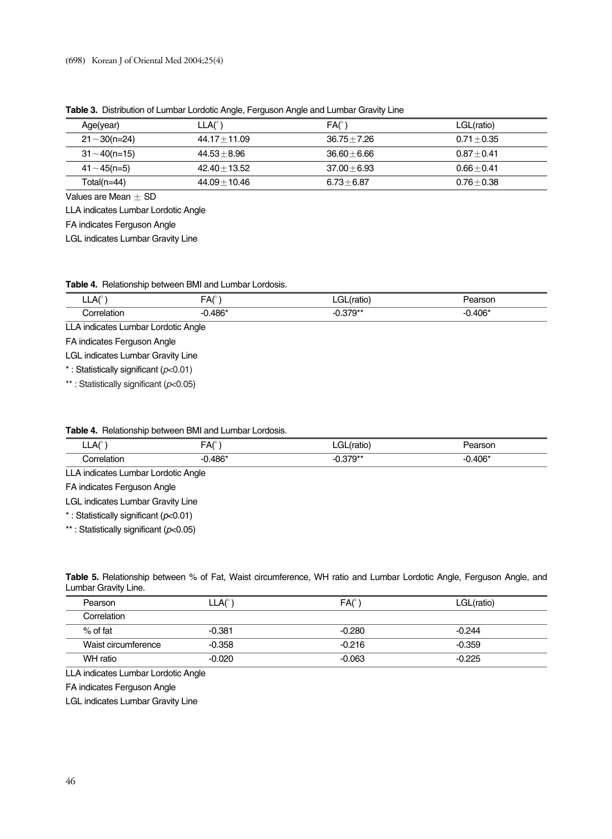| Age(year)           | $LLA(^\circ)$   | $FA(^\circ)$   | LGL(ratio)    |
|---------------------|-----------------|----------------|---------------|
| $21 \sim 30$ (n=24) | $44.17 + 11.09$ | $36.75 + 7.26$ | $0.71 + 0.35$ |
| $31 \sim 40$ (n=15) | $44.53 + 8.96$  | $36.60 + 6.66$ | $0.87 + 0.41$ |
| $41 \sim 45$ (n=5)  | $42.40 + 13.52$ | $37.00 + 6.93$ | $0.66 + 0.41$ |
| $Total(n=44)$       | 44.09+10.46     | $6.73 + 6.87$  | $0.76 + 0.38$ |

**Table 3.** Distribution of Lumbar Lordotic Angle, Ferguson Angle and Lumbar Gravity Line

Values are Mean  $\pm$  SD

LLA indicates Lumbar Lordotic Angle

FA indicates Ferguson Angle

LGL indicates Lumbar Gravity Line

|  | Table 4. Relationship between BMI and Lumbar Lordosis. |  |  |  |  |
|--|--------------------------------------------------------|--|--|--|--|
|--|--------------------------------------------------------|--|--|--|--|

| $LLA°$ )                                                  | $FA(^{\circ})$ | LGL(ratio) | Pearson   |  |  |  |
|-----------------------------------------------------------|----------------|------------|-----------|--|--|--|
| Correlation                                               | $-0.486*$      | $-0.379**$ | $-0.406*$ |  |  |  |
| LLA indicates Lumbar Lordotic Angle                       |                |            |           |  |  |  |
| FA indicates Ferguson Angle                               |                |            |           |  |  |  |
| <b>LGL indicates Lumbar Gravity Line</b>                  |                |            |           |  |  |  |
| *: Statistically significant ( $p<0.01$ )                 |                |            |           |  |  |  |
| $**$ . Ctatiatically oignificant $(n, n \cap \mathbb{R})$ |                |            |           |  |  |  |

\*\* : Statistically significant (*p*<0.05)

#### **Table 4.** Relationship between BMI and Lumbar Lordosis.

| LLA <sup>°</sup>                    | $FA(^\circ)$ | LGL(ratio) | Pearson   |
|-------------------------------------|--------------|------------|-----------|
| Correlation                         | -0.486*      | -0.379**   | $-0.406*$ |
| LLA indicates Lumbar Lordotic Angle |              |            |           |

FA indicates Ferguson Angle

LGL indicates Lumbar Gravity Line

\* : Statistically significant (*p*<0.01)

\*\* : Statistically significant (*p*<0.05)

| Table 5. Relationship between % of Fat, Waist circumference, WH ratio and Lumbar Lordotic Angle, Ferguson Angle, and |  |  |  |  |  |
|----------------------------------------------------------------------------------------------------------------------|--|--|--|--|--|
| Lumbar Gravity Line.                                                                                                 |  |  |  |  |  |

| Pearson             | LLA <sup>°</sup> | $FA(^\circ)$ | LGL(ratio) |
|---------------------|------------------|--------------|------------|
| Correlation         |                  |              |            |
| $%$ of fat          | $-0.381$         | $-0.280$     | $-0.244$   |
| Waist circumference | $-0.358$         | $-0.216$     | $-0.359$   |
| WH ratio            | $-0.020$         | $-0.063$     | $-0.225$   |

LLA indicates Lumbar Lordotic Angle

FA indicates Ferguson Angle

LGL indicates Lumbar Gravity Line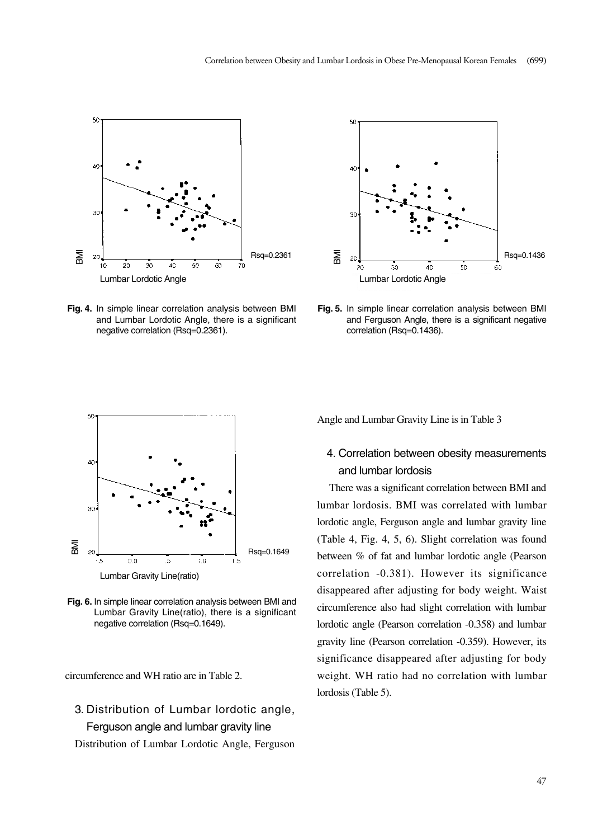

**Fig. 4.** In simple linear correlation analysis between BMI and Lumbar Lordotic Angle, there is a significant negative correlation (Rsq=0.2361).



**Fig. 5.** In simple linear correlation analysis between BMI and Ferguson Angle, there is a significant negative correlation (Rsq=0.1436).



**Fig. 6.** In simple linear correlation analysis between BMI and Lumbar Gravity Line(ratio), there is a significant negative correlation (Rsq=0.1649).

circumference and WH ratio are in Table 2.

# 3. Distribution of Lumbar lordotic angle, Ferguson angle and lumbar gravity line

Distribution of Lumbar Lordotic Angle, Ferguson

Angle and Lumbar Gravity Line is in Table 3

## 4. Correlation between obesity measurements and lumbar lordosis

There was a significant correlation between BMI and lumbar lordosis. BMI was correlated with lumbar lordotic angle, Ferguson angle and lumbar gravity line (Table 4, Fig. 4, 5, 6). Slight correlation was found between % of fat and lumbar lordotic angle (Pearson correlation -0.381). However its significance disappeared after adjusting for body weight. Waist circumference also had slight correlation with lumbar lordotic angle (Pearson correlation -0.358) and lumbar gravity line (Pearson correlation -0.359). However, its significance disappeared after adjusting for body weight. WH ratio had no correlation with lumbar lordosis (Table 5).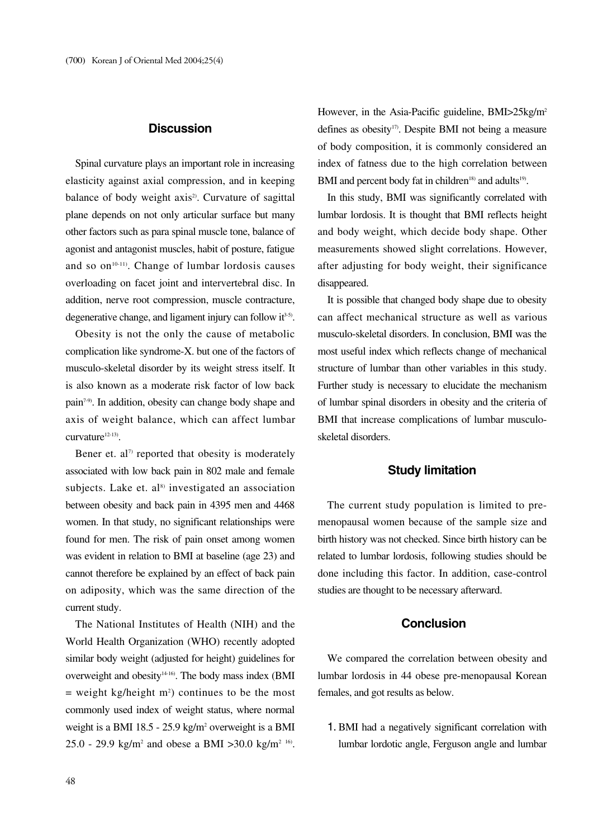### **Discussion**

Spinal curvature plays an important role in increasing elasticity against axial compression, and in keeping balance of body weight axis<sup>2</sup>. Curvature of sagittal plane depends on not only articular surface but many other factors such as para spinal muscle tone, balance of agonist and antagonist muscles, habit of posture, fatigue and so  $on<sup>10-11</sup>$ . Change of lumbar lordosis causes overloading on facet joint and intervertebral disc. In addition, nerve root compression, muscle contracture, degenerative change, and ligament injury can follow  $it<sup>3-5</sup>$ .

Obesity is not the only the cause of metabolic complication like syndrome-X. but one of the factors of musculo-skeletal disorder by its weight stress itself. It is also known as a moderate risk factor of low back pain7-9). In addition, obesity can change body shape and axis of weight balance, which can affect lumbar curvature<sup>12-13)</sup>.

Bener et.  $al^{\gamma}$  reported that obesity is moderately associated with low back pain in 802 male and female subjects. Lake et.  $al<sup>8</sup>$  investigated an association between obesity and back pain in 4395 men and 4468 women. In that study, no significant relationships were found for men. The risk of pain onset among women was evident in relation to BMI at baseline (age 23) and cannot therefore be explained by an effect of back pain on adiposity, which was the same direction of the current study.

The National Institutes of Health (NIH) and the World Health Organization (WHO) recently adopted similar body weight (adjusted for height) guidelines for overweight and obesity<sup>14-16</sup>). The body mass index (BMI  $=$  weight kg/height  $m<sup>2</sup>$ ) continues to be the most commonly used index of weight status, where normal weight is a BMI 18.5 - 25.9 kg/m2 overweight is a BMI 25.0 - 29.9 kg/m<sup>2</sup> and obese a BMI >30.0 kg/m<sup>2 16</sup>. However, in the Asia-Pacific guideline, BMI>25kg/m<sup>2</sup> defines as obesity<sup>17)</sup>. Despite BMI not being a measure of body composition, it is commonly considered an index of fatness due to the high correlation between BMI and percent body fat in children<sup>18)</sup> and adults<sup>19)</sup>.

In this study, BMI was significantly correlated with lumbar lordosis. It is thought that BMI reflects height and body weight, which decide body shape. Other measurements showed slight correlations. However, after adjusting for body weight, their significance disappeared.

It is possible that changed body shape due to obesity can affect mechanical structure as well as various musculo-skeletal disorders. In conclusion, BMI was the most useful index which reflects change of mechanical structure of lumbar than other variables in this study. Further study is necessary to elucidate the mechanism of lumbar spinal disorders in obesity and the criteria of BMI that increase complications of lumbar musculoskeletal disorders.

### **Study limitation**

The current study population is limited to premenopausal women because of the sample size and birth history was not checked. Since birth history can be related to lumbar lordosis, following studies should be done including this factor. In addition, case-control studies are thought to be necessary afterward.

#### **Conclusion**

We compared the correlation between obesity and lumbar lordosis in 44 obese pre-menopausal Korean females, and got results as below.

1. BMI had a negatively significant correlation with lumbar lordotic angle, Ferguson angle and lumbar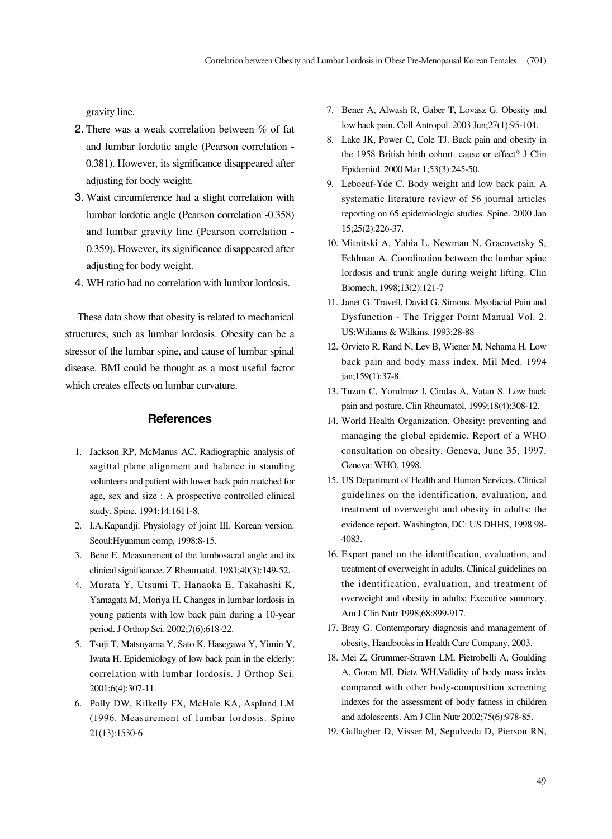gravity line.

- 2. There was a weak correlation between % of fat and lumbar lordotic angle (Pearson correlation - 0.381). However, its significance disappeared after adjusting for body weight.
- 3. Waist circumference had a slight correlation with lumbar lordotic angle (Pearson correlation -0.358) and lumbar gravity line (Pearson correlation - 0.359). However, its significance disappeared after adjusting for body weight.
- 4. WH ratio had no correlation with lumbar lordosis.

These data show that obesity is related to mechanical structures, such as lumbar lordosis. Obesity can be a stressor of the lumbar spine, and cause of lumbar spinal disease. BMI could be thought as a most useful factor which creates effects on lumbar curvature.

### **References**

- 1. Jackson RP, McManus AC. Radiographic analysis of sagittal plane alignment and balance in standing volunteers and patient with lower back pain matched for age, sex and size : A prospective controlled clinical study. Spine. 1994;14:1611-8.
- 2. I.A.Kapandji. Physiology of joint III. Korean version. Seoul:Hyunmun comp, 1998:8-15.
- 3. Bene E. Measurement of the lumbosacral angle and its clinical significance. Z Rheumatol. 1981;40(3):149-52.
- 4. Murata Y, Utsumi T, Hanaoka E, Takahashi K, Yamagata M, Moriya H. Changes in lumbar lordosis in young patients with low back pain during a 10-year period. J Orthop Sci. 2002;7(6):618-22.
- 5. Tsuji T, Matsuyama Y, Sato K, Hasegawa Y, Yimin Y, Iwata H. Epidemiology of low back pain in the elderly: correlation with lumbar lordosis. J Orthop Sci. 2001;6(4):307-11.
- 6. Polly DW, Kilkelly FX, McHale KA, Asplund LM (1996. Measurement of lumbar lordosis. Spine 21(13):1530-6
- 7. Bener A, Alwash R, Gaber T, Lovasz G. Obesity and low back pain. Coll Antropol. 2003 Jun;27(1):95-104.
- 8. Lake JK, Power C, Cole TJ. Back pain and obesity in the 1958 British birth cohort. cause or effect? J Clin Epidemiol. 2000 Mar 1;53(3):245-50.
- 9. Leboeuf-Yde C. Body weight and low back pain. A systematic literature review of 56 journal articles reporting on 65 epidemiologic studies. Spine. 2000 Jan 15;25(2):226-37.
- 10. Mitnitski A, Yahia L, Newman N, Gracovetsky S, Feldman A. Coordination between the lumbar spine lordosis and trunk angle during weight lifting. Clin Biomech, 1998;13(2):121-7
- 11. Janet G. Travell, David G. Simons. Myofacial Pain and Dysfunction - The Trigger Point Manual Vol. 2. US:Wiliams & Wilkins. 1993:28-88
- 12. Orvieto R, Rand N, Lev B, Wiener M, Nehama H. Low back pain and body mass index. Mil Med. 1994 jan;159(1):37-8.
- 13. Tuzun C, Yorulmaz I, Cindas A, Vatan S. Low back pain and posture. Clin Rheumatol. 1999;18(4):308-12.
- 14. World Health Organization. Obesity: preventing and managing the global epidemic. Report of a WHO consultation on obesity. Geneva, June 35, 1997. Geneva: WHO, 1998.
- 15. US Department of Health and Human Services. Clinical guidelines on the identification, evaluation, and treatment of overweight and obesity in adults: the evidence report. Washington, DC: US DHHS, 1998 98- 4083.
- 16. Expert panel on the identification, evaluation, and treatment of overweight in adults. Clinical guidelines on the identification, evaluation, and treatment of overweight and obesity in adults; Executive summary. Am J Clin Nutr 1998;68:899-917.
- 17. Bray G. Contemporary diagnosis and management of obesity, Handbooks in Health Care Company, 2003.
- 18. Mei Z, Grummer-Strawn LM, Pietrobelli A, Goulding A, Goran MI, Dietz WH.Validity of body mass index compared with other body-composition screening indexes for the assessment of body fatness in children and adolescents. Am J Clin Nutr 2002;75(6):978-85.
- 19. Gallagher D, Visser M, Sepulveda D, Pierson RN,